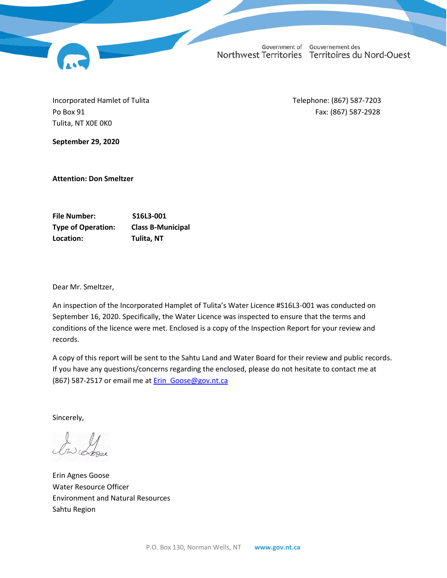Incorporated Hamlet of Tulita Telephone: (867) 587-7203 Po Box 91 **Fax: (867)** 587-2928 Tulita, NT X0E 0K0

**September 29, 2020**

**Attention: Don Smeltzer**

**File Number: S16L3-001 Type of Operation: Class B-Municipal Location: Tulita, NT**

Dear Mr. Smeltzer,

An inspection of the Incorporated Hamplet of Tulita's Water Licence #S16L3-001 was conducted on September 16, 2020. Specifically, the Water Licence was inspected to ensure that the terms and conditions of the licence were met. Enclosed is a copy of the Inspection Report for your review and records.

A copy of this report will be sent to the Sahtu Land and Water Board for their review and public records. If you have any questions/concerns regarding the enclosed, please do not hesitate to contact me at (867) 587-2517 or email me at **Erin** Goose@gov.nt.ca

Sincerely,

Erin Agnes Goose Water Resource Officer Environment and Natural Resources Sahtu Region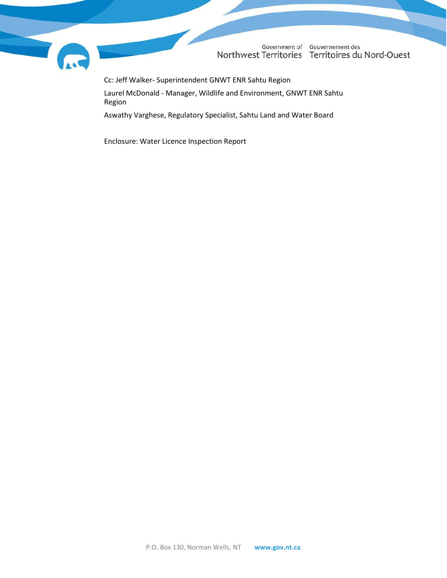

Cc: Jeff Walker- Superintendent GNWT ENR Sahtu Region

Laurel McDonald - Manager, Wildlife and Environment, GNWT ENR Sahtu Region

Aswathy Varghese, Regulatory Specialist, Sahtu Land and Water Board

Enclosure: Water Licence Inspection Report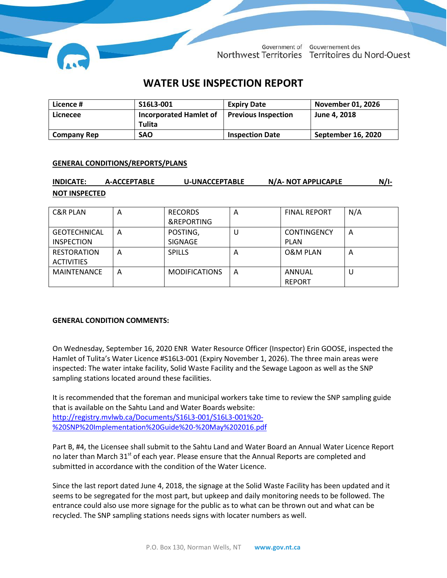

# **WATER USE INSPECTION REPORT**

| Licence #          | S16L3-001                                      | <b>Expiry Date</b>         | November 01, 2026  |
|--------------------|------------------------------------------------|----------------------------|--------------------|
| Licnecee           | <b>Incorporated Hamlet of</b><br><b>Tulita</b> | <b>Previous Inspection</b> | June 4, 2018       |
| <b>Company Rep</b> | <b>SAO</b>                                     | <b>Inspection Date</b>     | September 16, 2020 |

### **GENERAL CONDITIONS/REPORTS/PLANS**

| <b>INDICATE:</b>     | A-ACCEPTABLE | <b>U-UNACCEPTABLE</b> | N/A- NOT APPLICAPLE | $N/I-$ |
|----------------------|--------------|-----------------------|---------------------|--------|
| <b>NOT INSPECTED</b> |              |                       |                     |        |

| <b>C&amp;R PLAN</b> | A | <b>RECORDS</b>       | A | <b>FINAL REPORT</b> | N/A |
|---------------------|---|----------------------|---|---------------------|-----|
|                     |   | &REPORTING           |   |                     |     |
| <b>GEOTECHNICAL</b> | А | POSTING,             | U | <b>CONTINGENCY</b>  | A   |
| <b>INSPECTION</b>   |   | SIGNAGE              |   | <b>PLAN</b>         |     |
| <b>RESTORATION</b>  | А | <b>SPILLS</b>        | A | <b>O&amp;M PLAN</b> | A   |
| <b>ACTIVITIES</b>   |   |                      |   |                     |     |
| <b>MAINTENANCE</b>  | А | <b>MODIFICATIONS</b> | A | ANNUAL              | U   |
|                     |   |                      |   | <b>REPORT</b>       |     |

### **GENERAL CONDITION COMMENTS:**

On Wednesday, September 16, 2020 ENR Water Resource Officer (Inspector) Erin GOOSE, inspected the Hamlet of Tulita's Water Licence #S16L3-001 (Expiry November 1, 2026). The three main areas were inspected: The water intake facility, Solid Waste Facility and the Sewage Lagoon as well as the SNP sampling stations located around these facilities.

It is recommended that the foreman and municipal workers take time to review the SNP sampling guide that is available on the Sahtu Land and Water Boards website: [http://registry.mvlwb.ca/Documents/S16L3-001/S16L3-001%20-](http://registry.mvlwb.ca/Documents/S16L3-001/S16L3-001%20-%20SNP%20Implementation%20Guide%20-%20May%202016.pdf) [%20SNP%20Implementation%20Guide%20-%20May%202016.pdf](http://registry.mvlwb.ca/Documents/S16L3-001/S16L3-001%20-%20SNP%20Implementation%20Guide%20-%20May%202016.pdf)

Part B, #4, the Licensee shall submit to the Sahtu Land and Water Board an Annual Water Licence Report no later than March 31<sup>st</sup> of each year. Please ensure that the Annual Reports are completed and submitted in accordance with the condition of the Water Licence.

Since the last report dated June 4, 2018, the signage at the Solid Waste Facility has been updated and it seems to be segregated for the most part, but upkeep and daily monitoring needs to be followed. The entrance could also use more signage for the public as to what can be thrown out and what can be recycled. The SNP sampling stations needs signs with locater numbers as well.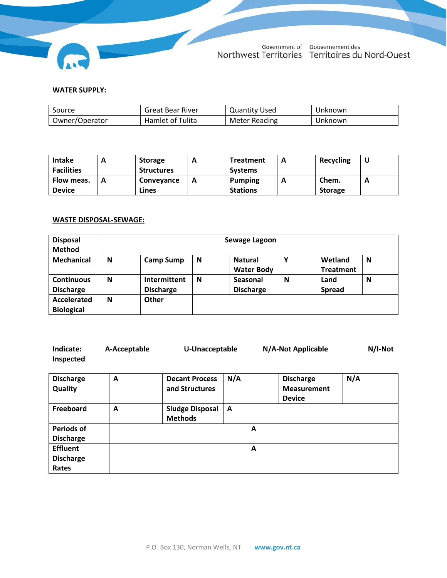

## **WATER SUPPLY:**

| Source         | <b>Great Bear River</b> | <b>Quantity Used</b> | Unknown |
|----------------|-------------------------|----------------------|---------|
| Owner/Operator | Hamlet of Tulita        | Meter Reading        | Jnknown |

| <b>Intake</b>     | <b>Storage</b>    |   | <b>Treatment</b> | A | Recycling      | u                          |
|-------------------|-------------------|---|------------------|---|----------------|----------------------------|
| <b>Facilities</b> | <b>Structures</b> |   | <b>Systems</b>   |   |                |                            |
| Flow meas.        | Conveyance        | A | <b>Pumping</b>   | Ē | Chem.          | A<br>$\mathbf{\mathsf{m}}$ |
| <b>Device</b>     | Lines             |   | <b>Stations</b>  |   | <b>Storage</b> |                            |

# **WASTE DISPOSAL-SEWAGE:**

| <b>Disposal</b><br><b>Method</b>      |   | Sewage Lagoon                    |   |                                     |   |                             |   |  |
|---------------------------------------|---|----------------------------------|---|-------------------------------------|---|-----------------------------|---|--|
| Mechanical                            | N | <b>Camp Sump</b>                 | N | <b>Natural</b><br><b>Water Body</b> | Υ | Wetland<br><b>Treatment</b> | N |  |
| <b>Continuous</b><br><b>Discharge</b> | N | Intermittent<br><b>Discharge</b> | N | Seasonal<br><b>Discharge</b>        | N | Land<br><b>Spread</b>       | N |  |
| Accelerated<br><b>Biological</b>      | N | Other                            |   |                                     |   |                             |   |  |

| Indicate:<br>Inspected                       | A-Acceptable | U-Unacceptable                           |     | N/A-Not Applicable                                      | N/I-Not |
|----------------------------------------------|--------------|------------------------------------------|-----|---------------------------------------------------------|---------|
| <b>Discharge</b><br>Quality                  | A            | <b>Decant Process</b><br>and Structures  | N/A | <b>Discharge</b><br><b>Measurement</b><br><b>Device</b> | N/A     |
| Freeboard                                    | A            | <b>Sludge Disposal</b><br><b>Methods</b> | A   |                                                         |         |
| <b>Periods of</b><br><b>Discharge</b>        |              |                                          | A   |                                                         |         |
| <b>Effluent</b><br><b>Discharge</b><br>Rates |              |                                          | A   |                                                         |         |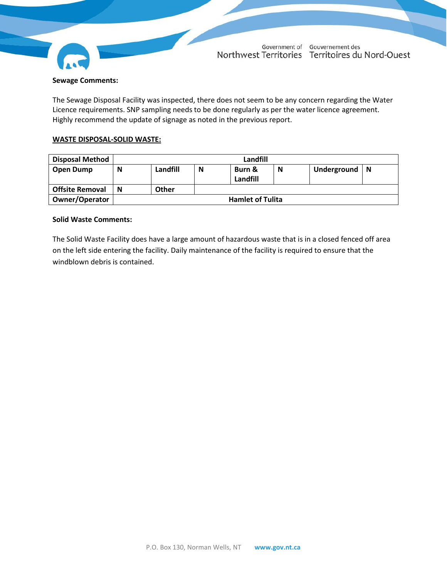

### **Sewage Comments:**

The Sewage Disposal Facility was inspected, there does not seem to be any concern regarding the Water Licence requirements. SNP sampling needs to be done regularly as per the water licence agreement. Highly recommend the update of signage as noted in the previous report.

### **WASTE DISPOSAL-SOLID WASTE:**

| <b>Disposal Method</b> |                         | Landfill     |   |                    |   |             |          |
|------------------------|-------------------------|--------------|---|--------------------|---|-------------|----------|
| Open Dump              | N                       | Landfill     | N | Burn &<br>Landfill | N | Underground | <b>N</b> |
| <b>Offsite Removal</b> | N                       | <b>Other</b> |   |                    |   |             |          |
| <b>Owner/Operator</b>  | <b>Hamlet of Tulita</b> |              |   |                    |   |             |          |

### **Solid Waste Comments:**

The Solid Waste Facility does have a large amount of hazardous waste that is in a closed fenced off area on the left side entering the facility. Daily maintenance of the facility is required to ensure that the windblown debris is contained.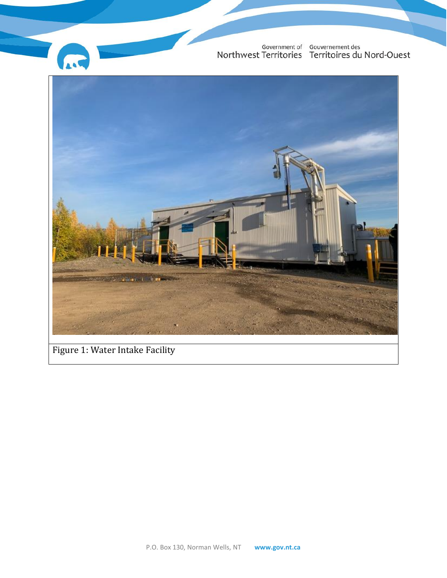

Figure 1: Water Intake Facility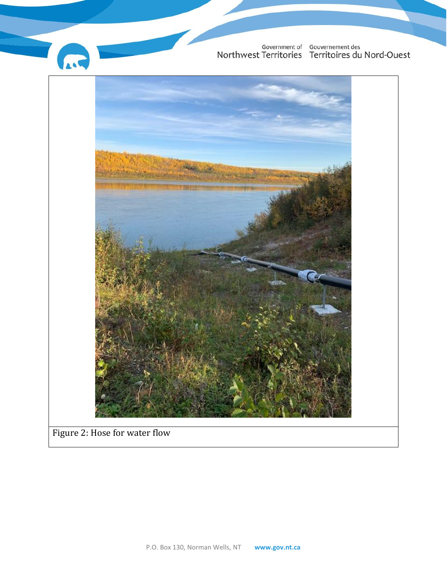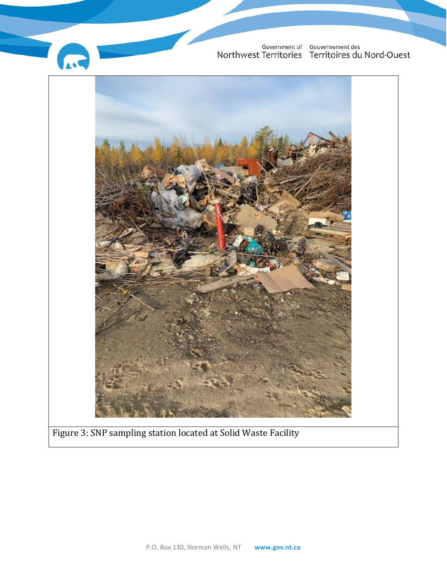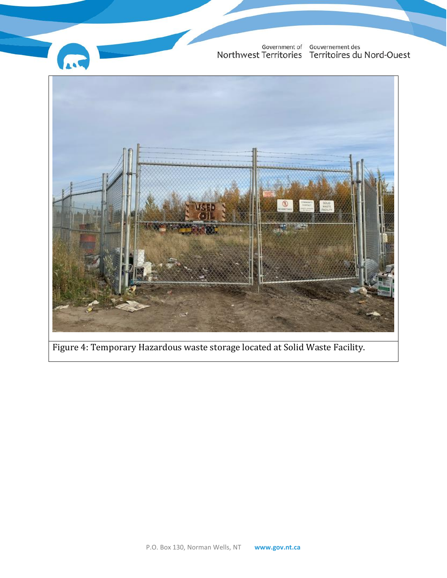

Figure 4: Temporary Hazardous waste storage located at Solid Waste Facility.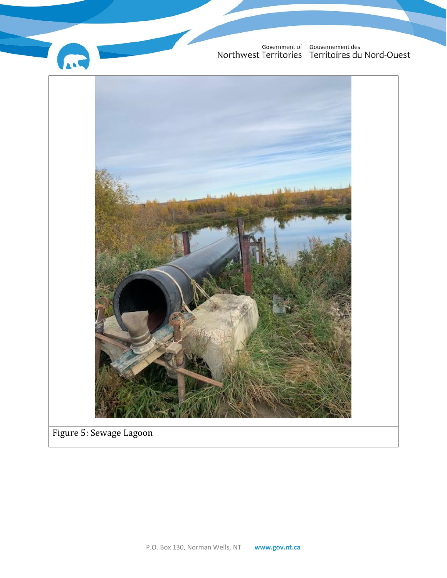